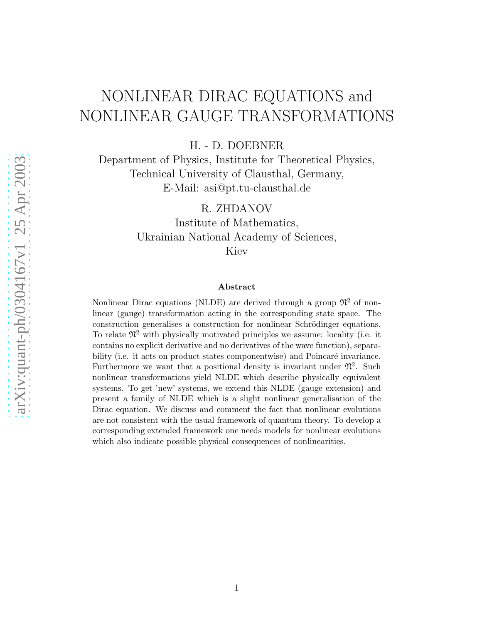# NONLINEAR DIRAC EQUATIONS and NONLINEAR GAUGE TRANSFORMATIONS

H. - D. DOEBNER

Department of Physics, Institute for Theoretical Physics, Technical University of Clausthal, Germany, E-Mail: asi@pt.tu-clausthal.de

R. ZHDANOV

Institute of Mathematics, Ukrainian National Academy of Sciences, Kiev

#### Abstract

Nonlinear Dirac equations (NLDE) are derived through a group  $\mathfrak{N}^2$  of nonlinear (gauge) transformation acting in the corresponding state space. The construction generalises a construction for nonlinear Schrödinger equations. To relate  $\mathfrak{N}^2$  with physically motivated principles we assume: locality (i.e. it contains no explicit derivative and no derivatives of the wave function), separability (i.e. it acts on product states componentwise) and Poincaré invariance. Furthermore we want that a positional density is invariant under  $\mathfrak{N}^2$ . Such nonlinear transformations yield NLDE which describe physically equivalent systems. To get 'new' systems, we extend this NLDE (gauge extension) and present a family of NLDE which is a slight nonlinear generalisation of the Dirac equation. We discuss and comment the fact that nonlinear evolutions are not consistent with the usual framework of quantum theory. To develop a corresponding extended framework one needs models for nonlinear evolutions which also indicate possible physical consequences of nonlinearities.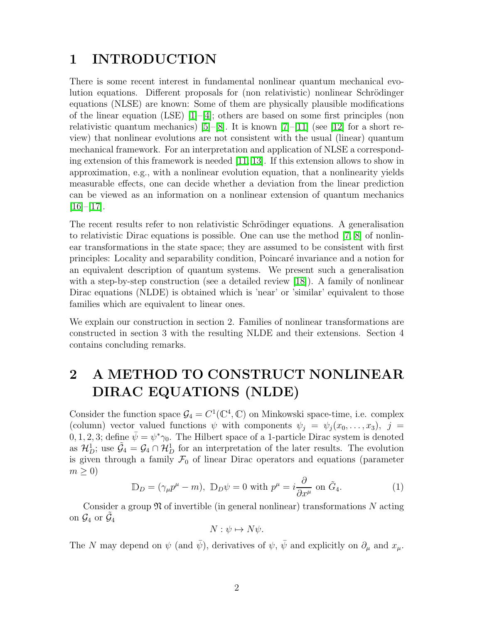### <span id="page-1-0"></span>1 INTRODUCTION

There is some recent interest in fundamental nonlinear quantum mechanical evolution equations. Different proposals for (non relativistic) nonlinear Schrödinger equations (NLSE) are known: Some of them are physically plausible modifications of the linear equation (LSE)  $[1]-[4]$  $[1]-[4]$ ; others are based on some first principles (non relativistic quantum mechanics) [\[5\]](#page-13-2)–[\[8\]](#page-13-3). It is known  $[7]-[11]$  $[7]-[11]$  (see [\[12\]](#page-13-6) for a short review) that nonlinear evolutions are not consistent with the usual (linear) quantum mechanical framework. For an interpretation and application of NLSE a corresponding extension of this framework is needed [\[11,](#page-13-5) [13\]](#page-13-7). If this extension allows to show in approximation, e.g., with a nonlinear evolution equation, that a nonlinearity yields measurable effects, one can decide whether a deviation from the linear prediction can be viewed as an information on a nonlinear extension of quantum mechanics  $[16]$ – $[17]$ .

The recent results refer to non relativistic Schrödinger equations. A generalisation to relativistic Dirac equations is possible. One can use the method [\[7,](#page-13-4) [8\]](#page-13-3) of nonlinear transformations in the state space; they are assumed to be consistent with first principles: Locality and separability condition, Poincar´e invariance and a notion for an equivalent description of quantum systems. We present such a generalisation with a step-by-step construction (see a detailed review [\[18\]](#page-14-2)). A family of nonlinear Dirac equations (NLDE) is obtained which is 'near' or 'similar' equivalent to those families which are equivalent to linear ones.

We explain our construction in section 2. Families of nonlinear transformations are constructed in section 3 with the resulting NLDE and their extensions. Section 4 contains concluding remarks.

## 2 A METHOD TO CONSTRUCT NONLINEAR DIRAC EQUATIONS (NLDE)

Consider the function space  $\mathcal{G}_4 = C^1(\mathbb{C}^4, \mathbb{C})$  on Minkowski space-time, i.e. complex (column) vector valued functions  $\psi$  with components  $\psi_i = \psi_i(x_0, \ldots, x_3), j =$ 0, 1, 2, 3; define  $\bar{\psi} = \psi^* \gamma_0$ . The Hilbert space of a 1-particle Dirac system is denoted as  $\mathcal{H}_D^1$ ; use  $\tilde{\mathcal{G}}_4 = \mathcal{G}_4 \cap \mathcal{H}_D^1$  for an interpretation of the later results. The evolution is given through a family  $\mathcal{F}_0$  of linear Dirac operators and equations (parameter  $m \geq 0$ 

$$
\mathbb{D}_D = (\gamma_\mu p^\mu - m), \ \mathbb{D}_D \psi = 0 \text{ with } p^\mu = i \frac{\partial}{\partial x^\mu} \text{ on } \tilde{G}_4. \tag{1}
$$

Consider a group  $\mathfrak N$  of invertible (in general nonlinear) transformations N acting on  $\mathcal{G}_4$  or  $\tilde{\mathcal{G}}_4$ 

$$
N: \psi \mapsto N\psi.
$$

The N may depend on  $\psi$  (and  $\bar{\psi}$ ), derivatives of  $\psi$ ,  $\bar{\psi}$  and explicitly on  $\partial_{\mu}$  and  $x_{\mu}$ .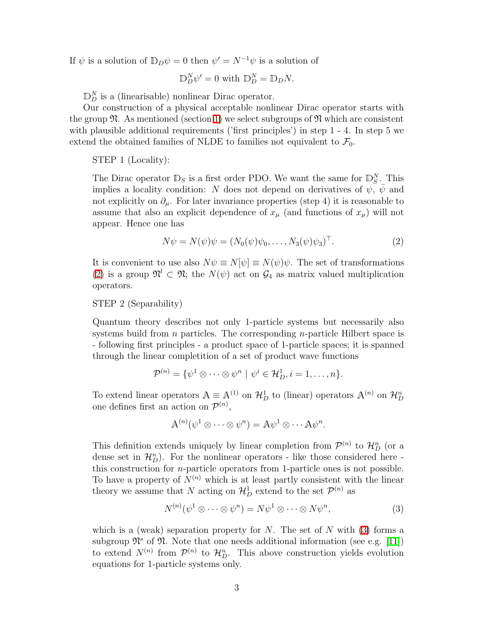If  $\psi$  is a solution of  $\mathbb{D}_D \psi = 0$  then  $\psi' = N^{-1} \psi$  is a solution of

$$
\mathbb{D}_D^N \psi' = 0 \text{ with } \mathbb{D}_D^N = \mathbb{D}_D N.
$$

 $\mathbb{D}_{D}^{N}$  is a (linearisable) nonlinear Dirac operator.

Our construction of a physical acceptable nonlinear Dirac operator starts with the group  $\mathfrak{N}$ . As mentioned (section [1\)](#page-1-0) we select subgroups of  $\mathfrak{N}$  which are consistent with plausible additional requirements ('first principles') in step 1 - 4. In step 5 we extend the obtained families of NLDE to families not equivalent to  $\mathcal{F}_0$ .

#### STEP 1 (Locality):

The Dirac operator  $\mathbb{D}_S$  is a first order PDO. We want the same for  $\mathbb{D}_{S}^N$ . This implies a locality condition: N does not depend on derivatives of  $\psi$ ,  $\psi$  and not explicitly on  $\partial_{\mu}$ . For later invariance properties (step 4) it is reasonable to assume that also an explicit dependence of  $x_\mu$  (and functions of  $x_\mu$ ) will not appear. Hence one has

$$
N\psi = N(\psi)\psi = (N_0(\psi)\psi_0, \dots, N_3(\psi)\psi_3)^{\top}.
$$
 (2)

<span id="page-2-0"></span>It is convenient to use also  $N\psi \equiv N[\psi] \equiv N(\psi)\psi$ . The set of transformations [\(2\)](#page-2-0) is a group  $\mathfrak{N}^l \subset \mathfrak{N}$ ; the  $N(\psi)$  act on  $\mathcal{G}_4$  as matrix valued multiplication operators.

### STEP 2 (Separability)

Quantum theory describes not only 1-particle systems but necessarily also systems build from  $n$  particles. The corresponding  $n$ -particle Hilbert space is - following first principles - a product space of 1-particle spaces; it is spanned through the linear completition of a set of product wave functions

$$
\mathcal{P}^{(n)} = \{ \psi^1 \otimes \cdots \otimes \psi^n \mid \psi^i \in \mathcal{H}_D^1, i = 1, \ldots, n \}.
$$

To extend linear operators  $A \equiv A^{(1)}$  on  $\mathcal{H}_D^1$  to (linear) operators  $A^{(n)}$  on  $\mathcal{H}_D^n$ one defines first an action on  $\mathcal{P}^{(n)}$ ,

$$
\mathbb{A}^{(n)}(\psi^1 \otimes \cdots \otimes \psi^n) = \mathbb{A} \psi^1 \otimes \cdots \mathbb{A} \psi^n.
$$

This definition extends uniquely by linear completion from  $\mathcal{P}^{(n)}$  to  $\mathcal{H}_{D}^{n}$  (or a dense set in  $\mathcal{H}_D^n$ ). For the nonlinear operators - like those considered here this construction for n-particle operators from 1-particle ones is not possible. To have a property of  $N^{(n)}$  which is at least partly consistent with the linear theory we assume that N acting on  $\mathcal{H}_{D}^{1}$  extend to the set  $\mathcal{P}^{(n)}$  as

$$
N^{(n)}(\psi^1 \otimes \cdots \otimes \psi^n) = N\psi^1 \otimes \cdots \otimes N\psi^n, \tag{3}
$$

<span id="page-2-1"></span>which is a (weak) separation property for  $N$ . The set of  $N$  with [\(3\)](#page-2-1) forms a subgroup  $\mathfrak{N}^s$  of  $\mathfrak{N}$ . Note that one needs additional information (see e.g. [\[11\]](#page-13-5)) to extend  $N^{(n)}$  from  $\mathcal{P}^{(n)}$  to  $\mathcal{H}_{D}^{n}$ . This above construction yields evolution equations for 1-particle systems only.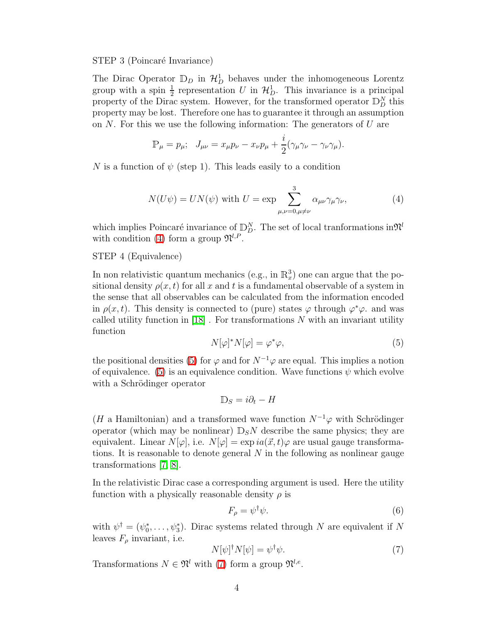#### STEP 3 (Poincaré Invariance)

The Dirac Operator  $\mathbb{D}_D$  in  $\mathcal{H}_D^1$  behaves under the inhomogeneous Lorentz group with a spin  $\frac{1}{2}$  representation U in  $\mathcal{H}_D^1$ . This invariance is a principal property of the Dirac system. However, for the transformed operator  $\mathbb{D}_{D}^{N}$  this property may be lost. Therefore one has to guarantee it through an assumption on  $N$ . For this we use the following information: The generators of  $U$  are

$$
\mathbb{P}_{\mu} = p_{\mu}; \quad J_{\mu\nu} = x_{\mu}p_{\nu} - x_{\nu}p_{\mu} + \frac{i}{2}(\gamma_{\mu}\gamma_{\nu} - \gamma_{\nu}\gamma_{\mu}).
$$

<span id="page-3-0"></span>N is a function of  $\psi$  (step 1). This leads easily to a condition

$$
N(U\psi) = UN(\psi) \text{ with } U = \exp \sum_{\mu,\nu=0,\mu \neq \nu}^{3} \alpha_{\mu\nu} \gamma_{\mu} \gamma_{\nu}, \tag{4}
$$

which implies Poincaré invariance of  $\mathbb{D}_{D}^{N}$ . The set of local tranformations in  $\mathfrak{N}^{l}$ with condition [\(4\)](#page-3-0) form a group  $\mathfrak{N}^{l,P}$ .

#### STEP 4 (Equivalence)

In non relativistic quantum mechanics (e.g., in  $\mathbb{R}^3_x$ ) one can argue that the positional density  $\rho(x, t)$  for all x and t is a fundamental observable of a system in the sense that all observables can be calculated from the information encoded in  $\rho(x,t)$ . This density is connected to (pure) states  $\varphi$  through  $\varphi^*\varphi$ . and was called utility function in  $[18]$ . For transformations N with an invariant utility function

<span id="page-3-1"></span>
$$
N[\varphi]^* N[\varphi] = \varphi^* \varphi,\tag{5}
$$

the positional densities [\(5\)](#page-3-1) for  $\varphi$  and for  $N^{-1}\varphi$  are equal. This implies a notion of equivalence. [\(5\)](#page-3-1) is an equivalence condition. Wave functions  $\psi$  which evolve with a Schrödinger operator

$$
\mathbb{D}_S = i\partial_t - H
$$

(H a Hamiltonian) and a transformed wave function  $N^{-1}\varphi$  with Schrödinger operator (which may be nonlinear)  $\mathbb{D}_S N$  describe the same physics; they are equivalent. Linear  $N[\varphi]$ , i.e.  $N[\varphi] = \exp i a(\vec{x}, t)\varphi$  are usual gauge transformations. It is reasonable to denote general  $N$  in the following as nonlinear gauge transformations [\[7,](#page-13-4) [8\]](#page-13-3).

In the relativistic Dirac case a corresponding argument is used. Here the utility function with a physically reasonable density  $\rho$  is

<span id="page-3-3"></span>
$$
F_{\rho} = \psi^{\dagger} \psi. \tag{6}
$$

with  $\psi^{\dagger} = (\psi_0^*, \ldots, \psi_3^*)$ . Dirac systems related through N are equivalent if N leaves  $F_{\rho}$  invariant, i.e.

<span id="page-3-2"></span>
$$
N[\psi]^{\dagger} N[\psi] = \psi^{\dagger} \psi. \tag{7}
$$

Transformations  $N \in \mathfrak{N}^l$  with [\(7\)](#page-3-2) form a group  $\mathfrak{N}^{l,e}$ .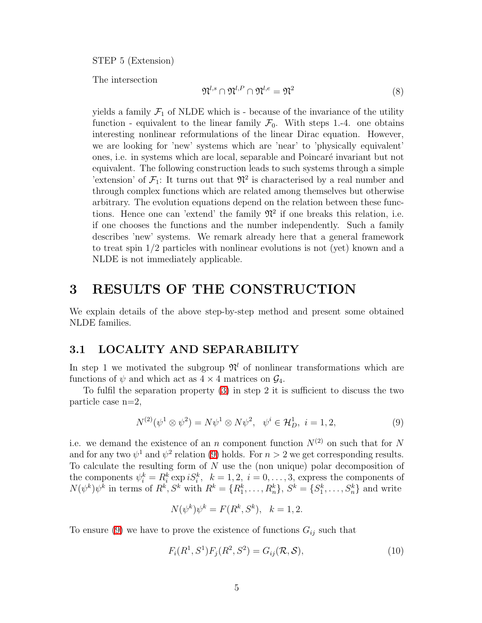STEP 5 (Extension)

The intersection

$$
\mathfrak{N}^{l,s} \cap \mathfrak{N}^{l,P} \cap \mathfrak{N}^{l,e} = \mathfrak{N}^2 \tag{8}
$$

yields a family  $\mathcal{F}_1$  of NLDE which is - because of the invariance of the utility function - equivalent to the linear family  $\mathcal{F}_0$ . With steps 1.-4. one obtains interesting nonlinear reformulations of the linear Dirac equation. However, we are looking for 'new' systems which are 'near' to 'physically equivalent' ones, i.e. in systems which are local, separable and Poincar´e invariant but not equivalent. The following construction leads to such systems through a simple 'extension' of  $\mathcal{F}_1$ : It turns out that  $\mathfrak{N}^2$  is characterised by a real number and through complex functions which are related among themselves but otherwise arbitrary. The evolution equations depend on the relation between these functions. Hence one can 'extend' the family  $\mathfrak{N}^2$  if one breaks this relation, i.e. if one chooses the functions and the number independently. Such a family describes 'new' systems. We remark already here that a general framework to treat spin 1/2 particles with nonlinear evolutions is not (yet) known and a NLDE is not immediately applicable.

### 3 RESULTS OF THE CONSTRUCTION

We explain details of the above step-by-step method and present some obtained NLDE families.

### <span id="page-4-1"></span>3.1 LOCALITY AND SEPARABILITY

In step 1 we motivated the subgroup  $\mathfrak{N}^l$  of nonlinear transformations which are functions of  $\psi$  and which act as  $4 \times 4$  matrices on  $\mathcal{G}_4$ .

<span id="page-4-0"></span>To fulfil the separation property [\(3\)](#page-2-1) in step 2 it is sufficient to discuss the two particle case n=2,

$$
N^{(2)}(\psi^1 \otimes \psi^2) = N\psi^1 \otimes N\psi^2, \quad \psi^i \in \mathcal{H}_D^1, \ i = 1, 2,
$$
\n(9)

i.e. we demand the existence of an n component function  $N^{(2)}$  on such that for N and for any two  $\psi^1$  and  $\psi^2$  relation [\(9\)](#page-4-0) holds. For  $n > 2$  we get corresponding results. To calculate the resulting form of  $N$  use the (non unique) polar decomposition of the components  $\psi_i^k = R_i^k \exp iS_i^k$ ,  $k = 1, 2, i = 0, \ldots, 3$ , express the components of  $N(\psi^k)\psi^k$  in terms of  $R^k, S^k$  with  $R^k = \{R_1^k, \ldots, R_n^k\}, S^k = \{S_1^k, \ldots, S_n^k\}$  and write

$$
N(\psi^k)\psi^k = F(R^k, S^k), \ \ k = 1, 2.
$$

To ensure [\(9\)](#page-4-0) we have to prove the existence of functions  $G_{ij}$  such that

$$
F_i(R^1, S^1)F_j(R^2, S^2) = G_{ij}(\mathcal{R}, \mathcal{S}),
$$
\n(10)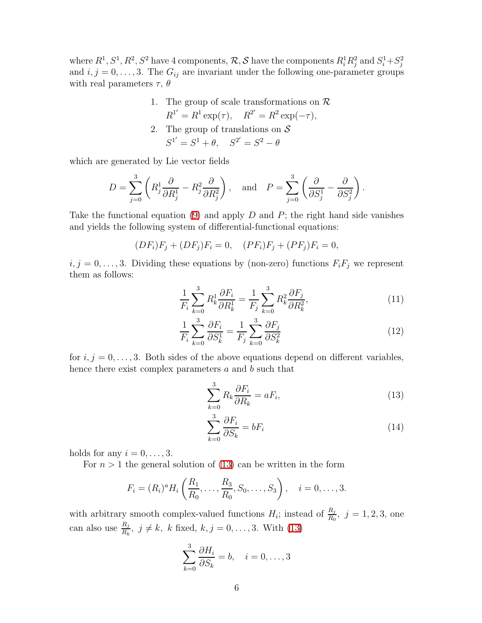where  $R^1, S^1, R^2, S^2$  have 4 components,  $\mathcal{R}, \mathcal{S}$  have the components  $R^1_i R^2_j$  and  $S^1_i + S^2_j$ and  $i, j = 0, \ldots, 3$ . The  $G_{ij}$  are invariant under the following one-parameter groups with real parameters  $\tau$ ,  $\theta$ 

\n- 1. The group of scale transformations on 
$$
\mathcal{R}
$$
,  $R^{1'} = R^1 \exp(\tau)$ ,  $R^{2'} = R^2 \exp(-\tau)$ .
\n- 2. The group of translations on  $\mathcal{S}$ ,  $S^{1'} = S^1 + \theta$ ,  $S^{2'} = S^2 - \theta$ .
\n

which are generated by Lie vector fields

$$
D = \sum_{j=0}^{3} \left( R_j^1 \frac{\partial}{\partial R_j^1} - R_j^2 \frac{\partial}{\partial R_j^2} \right), \text{ and } P = \sum_{j=0}^{3} \left( \frac{\partial}{\partial S_j^1} - \frac{\partial}{\partial S_j^2} \right).
$$

Take the functional equation [\(9\)](#page-4-0) and apply  $D$  and  $P$ ; the right hand side vanishes and yields the following system of differential-functional equations:

$$
(DF_i)F_j + (DF_j)F_i = 0, \quad (PF_i)F_j + (PF_j)F_i = 0,
$$

 $i, j = 0, \ldots, 3$ . Dividing these equations by (non-zero) functions  $F_i F_j$  we represent them as follows:

$$
\frac{1}{F_i} \sum_{k=0}^3 R_k^1 \frac{\partial F_i}{\partial R_k^1} = \frac{1}{F_j} \sum_{k=0}^3 R_k^2 \frac{\partial F_j}{\partial R_k^2},\tag{11}
$$

$$
\frac{1}{F_i} \sum_{k=0}^3 \frac{\partial F_i}{\partial S_k^1} = \frac{1}{F_j} \sum_{k=0}^3 \frac{\partial F_j}{\partial S_k^2}
$$
\n(12)

for  $i, j = 0, \ldots, 3$ . Both sides of the above equations depend on different variables, hence there exist complex parameters a and b such that

<span id="page-5-0"></span>
$$
\sum_{k=0}^{3} R_k \frac{\partial F_i}{\partial R_k} = aF_i,
$$
\n(13)

$$
\sum_{k=0}^{3} \frac{\partial F_i}{\partial S_k} = bF_i \tag{14}
$$

holds for any  $i = 0, \ldots, 3$ .

For  $n > 1$  the general solution of [\(13\)](#page-5-0) can be written in the form

$$
F_i = (R_i)^a H_i \left( \frac{R_1}{R_0}, \dots, \frac{R_3}{R_0}, S_0, \dots, S_3 \right), \quad i = 0, \dots, 3.
$$

with arbitrary smooth complex-valued functions  $H_i$ ; instead of  $\frac{R_j}{R_0}$ ,  $j = 1, 2, 3$ , one can also use  $\frac{R_j}{R_k}$ ,  $j \neq k$ , k fixed,  $k, j = 0, \ldots, 3$ . With [\(13\)](#page-5-0)

$$
\sum_{k=0}^{3} \frac{\partial H_i}{\partial S_k} = b, \quad i = 0, \dots, 3
$$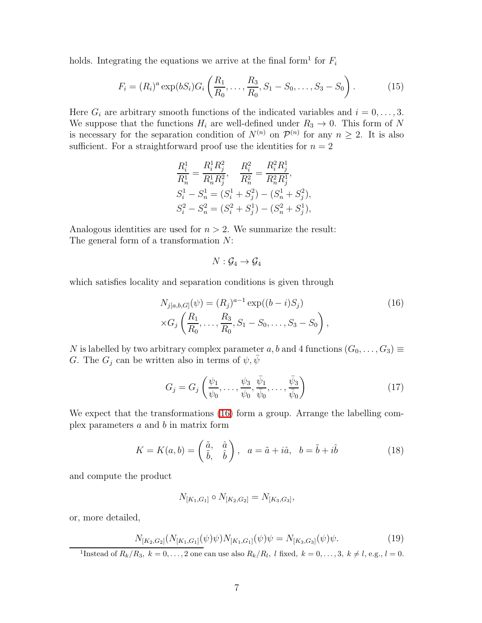holds. Integrating the equations we arrive at the final form<sup>1</sup> for  $F_i$ 

$$
F_i = (R_i)^a \exp(bS_i) G_i \left(\frac{R_1}{R_0}, \dots, \frac{R_3}{R_0}, S_1 - S_0, \dots, S_3 - S_0\right).
$$
 (15)

Here  $G_i$  are arbitrary smooth functions of the indicated variables and  $i = 0, \ldots, 3$ . We suppose that the functions  $H_i$  are well-defined under  $R_3 \to 0$ . This form of N is necessary for the separation condition of  $N^{(n)}$  on  $\mathcal{P}^{(n)}$  for any  $n \geq 2$ . It is also sufficient. For a straightforward proof use the identities for  $n = 2$ 

$$
\frac{R_i^1}{R_n^1} = \frac{R_i^1 R_j^2}{R_n^1 R_j^2}, \quad \frac{R_i^2}{R_n^2} = \frac{R_i^2 R_j^1}{R_n^2 R_j^1},
$$
  
\n
$$
S_i^1 - S_n^1 = (S_i^1 + S_j^2) - (S_n^1 + S_j^2),
$$
  
\n
$$
S_i^2 - S_n^2 = (S_i^2 + S_j^1) - (S_n^2 + S_j^1),
$$

Analogous identities are used for  $n > 2$ . We summarize the result: The general form of a transformation N:

$$
N:\mathcal{G}_4\to \mathcal{G}_4
$$

<span id="page-6-0"></span>which satisfies locality and separation conditions is given through

$$
N_{j[a,b,G]}(\psi) = (R_j)^{a-1} \exp((b-i)S_j)
$$
  
 
$$
\times G_j\left(\frac{R_1}{R_0}, \dots, \frac{R_3}{R_0}, S_1 - S_0, \dots, S_3 - S_0\right),
$$
 (16)

N is labelled by two arbitrary complex parameter a, b and 4 functions  $(G_0, \ldots, G_3) \equiv$ G. The  $G_j$  can be written also in terms of  $\psi, \bar{\psi}$ 

$$
G_j = G_j\left(\frac{\psi_1}{\psi_0}, \dots, \frac{\psi_3}{\psi_0}, \frac{\bar{\psi}_1}{\bar{\psi}_0}, \dots, \frac{\bar{\psi}_3}{\bar{\psi}_0}\right)
$$
(17)

We expect that the transformations [\(16\)](#page-6-0) form a group. Arrange the labelling complex parameters  $a$  and  $b$  in matrix form

$$
K = K(a, b) = \begin{pmatrix} \tilde{a}, & \hat{a} \\ \tilde{b}, & \hat{b} \end{pmatrix}, \quad a = \tilde{a} + i\hat{a}, \quad b = \tilde{b} + i\hat{b}
$$
(18)

and compute the product

$$
N_{[K_1,G_1]} \circ N_{[K_2,G_2]} = N_{[K_3,G_3]},
$$

or, more detailed,

$$
N_{[K_2,G_2]}(N_{[K_1,G_1]}(\psi)\psi)N_{[K_1,G_1]}(\psi)\psi = N_{[K_3,G_3]}(\psi)\psi.
$$
\n(19)

<sup>1</sup>Instead of  $R_k/R_3$ ,  $k = 0, \ldots, 2$  one can use also  $R_k/R_l$ , *l* fixed,  $k = 0, \ldots, 3, k \neq l$ , e.g.,  $l = 0$ .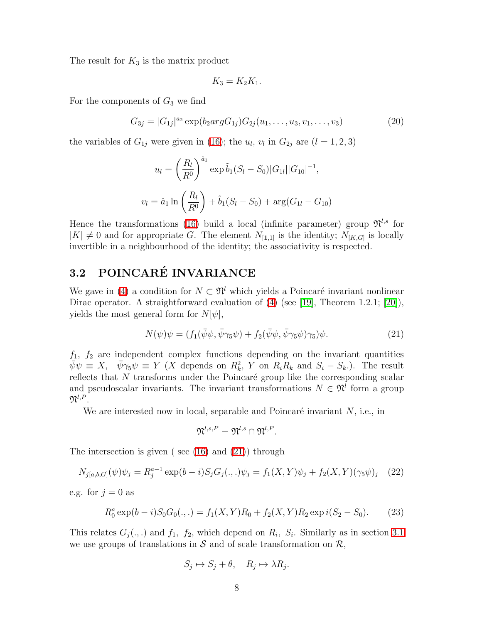The result for  $K_3$  is the matrix product

$$
K_3 = K_2 K_1.
$$

<span id="page-7-3"></span>For the components of  $G_3$  we find

$$
G_{3j} = |G_{1j}|^{a_2} \exp(b_2 \arg G_{1j}) G_{2j}(u_1, \dots, u_3, v_1, \dots, v_3)
$$
\n(20)

the variables of  $G_{1j}$  were given in [\(16\)](#page-6-0); the  $u_l$ ,  $v_l$  in  $G_{2j}$  are  $(l = 1, 2, 3)$ 

$$
u_l = \left(\frac{R_l}{R^0}\right)^{\tilde{a}_1} \exp \tilde{b}_1(S_l - S_0)|G_{1l}||G_{10}|^{-1},
$$
  

$$
v_l = \hat{a}_1 \ln \left(\frac{R_l}{R^0}\right) + \hat{b}_1(S_l - S_0) + \arg(G_{1l} - G_{10})
$$

Hence the transformations [\(16\)](#page-6-0) build a local (infinite parameter) group  $\mathfrak{N}^{l,s}$  for  $|K| \neq 0$  and for appropriate G. The element  $N_{[1,1]}$  is the identity;  $N_{[K,G]}$  is locally invertible in a neighbourhood of the identity; the associativity is respected.

### 3.2 POINCARÉ INVARIANCE

<span id="page-7-0"></span>We gave in [\(4\)](#page-3-0) a condition for  $N \subset \mathfrak{N}^l$  which yields a Poincaré invariant nonlinear Dirac operator. A straightforward evaluation of [\(4\)](#page-3-0) (see [\[19\]](#page-14-3), Theorem 1.2.1; [\[20\]](#page-14-4)), yields the most general form for  $N[\psi]$ ,

$$
N(\psi)\psi = (f_1(\bar{\psi}\psi, \bar{\psi}\gamma_5\psi) + f_2(\bar{\psi}\psi, \bar{\psi}\gamma_5\psi)\gamma_5)\psi.
$$
\n(21)

 $f_1$ ,  $f_2$  are independent complex functions depending on the invariant quantities  $\bar{\psi}\psi \equiv X, \quad \bar{\psi}\gamma_5\psi \equiv Y \ (X \text{ depends on } R_k^2, Y \text{ on } R_iR_k \text{ and } S_i - S_k).$  The result reflects that  $N$  transforms under the Poincaré group like the corresponding scalar and pseudoscalar invariants. The invariant transformations  $N \in \mathfrak{N}^l$  form a group  $\mathfrak{N}^{l,P}.$ 

We are interested now in local, separable and Poincaré invariant  $N$ , i.e., in

$$
\mathfrak{N}^{l,s,P}=\mathfrak{N}^{l,s}\cap\mathfrak{N}^{l,P}.
$$

<span id="page-7-2"></span>The intersection is given ( see [\(16\)](#page-6-0) and [\(21\)](#page-7-0)) through

$$
N_{j[a,b,G]}(\psi)\psi_j = R_j^{a-1} \exp(b-i) S_j G_j(.,.) \psi_j = f_1(X,Y)\psi_j + f_2(X,Y)(\gamma_5 \psi)_j \tag{22}
$$

<span id="page-7-1"></span>e.g. for  $j = 0$  as

$$
R_0^a \exp(b - i) S_0 G_0(.,.) = f_1(X, Y) R_0 + f_2(X, Y) R_2 \exp i(S_2 - S_0).
$$
 (23)

This relates  $G_j(.,.)$  and  $f_1, f_2$ , which depend on  $R_i, S_i$ . Similarly as in section [3.1](#page-4-1) we use groups of translations in  $S$  and of scale transformation on  $\mathcal{R}$ ,

$$
S_j \mapsto S_j + \theta, \quad R_j \mapsto \lambda R_j.
$$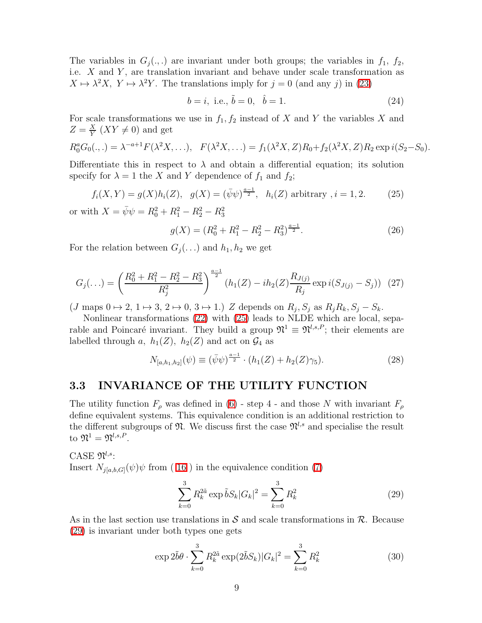The variables in  $G_j(.,.)$  are invariant under both groups; the variables in  $f_1, f_2,$ i.e.  $X$  and  $Y$ , are translation invariant and behave under scale transformation as  $X \mapsto \lambda^2 X$ ,  $Y \mapsto \lambda^2 Y$ . The translations imply for  $j = 0$  (and any j) in [\(23\)](#page-7-1)

<span id="page-8-5"></span>
$$
b = i, \text{ i.e., } \tilde{b} = 0, \quad \hat{b} = 1. \tag{24}
$$

For scale transformations we use in  $f_1, f_2$  instead of X and Y the variables X and  $Z=\frac{X}{Y}$  $\frac{X}{Y}$  (XY  $\neq$  0) and get

$$
R_0^a G_0(.,.) = \lambda^{-a+1} F(\lambda^2 X, \ldots), \quad F(\lambda^2 X, \ldots) = f_1(\lambda^2 X, Z) R_0 + f_2(\lambda^2 X, Z) R_2 \exp i(S_2 - S_0).
$$

<span id="page-8-0"></span>Differentiate this in respect to  $\lambda$  and obtain a differential equation; its solution specify for  $\lambda = 1$  the X and Y dependence of  $f_1$  and  $f_2$ ;

<span id="page-8-2"></span>
$$
f_i(X,Y) = g(X)h_i(Z), \quad g(X) = (\bar{\psi}\psi)^{\frac{a-1}{2}}, \quad h_i(Z) \text{ arbitrary } i = 1, 2. \tag{25}
$$

or with  $X = \bar{\psi}\psi = R_0^2 + R_1^2 - R_2^2 - R_3^2$ 

$$
g(X) = (R_0^2 + R_1^2 - R_2^2 - R_3^2)^{\frac{a-1}{2}}.
$$
\n(26)

<span id="page-8-3"></span>For the relation between  $G_j(\ldots)$  and  $h_1, h_2$  we get

$$
G_j(\ldots) = \left(\frac{R_0^2 + R_1^2 - R_2^2 - R_3^2}{R_j^2}\right)^{\frac{a-1}{2}} (h_1(Z) - ih_2(Z)\frac{R_{J(j)}}{R_j} \exp i(S_{J(j)} - S_j))
$$
 (27)

 $(J \text{ maps } 0 \mapsto 2, 1 \mapsto 3, 2 \mapsto 0, 3 \mapsto 1.$ ) Z depends on  $R_j, S_j$  as  $R_j R_k, S_j - S_k$ .

<span id="page-8-4"></span>Nonlinear transformations [\(22\)](#page-7-2) with [\(25\)](#page-8-0) leads to NLDE which are local, separable and Poincaré invariant. They build a group  $\mathfrak{N}^1 \equiv \mathfrak{N}^{l,s,P}$ ; their elements are labelled through a,  $h_1(Z)$ ,  $h_2(Z)$  and act on  $\mathcal{G}_4$  as

$$
N_{[a,h_1,h_2]}(\psi) \equiv (\bar{\psi}\psi)^{\frac{a-1}{2}} \cdot (h_1(Z) + h_2(Z)\gamma_5). \tag{28}
$$

### 3.3 INVARIANCE OF THE UTILITY FUNCTION

The utility function  $F_{\rho}$  was defined in [\(6\)](#page-3-3) - step 4 - and those N with invariant  $F_{\rho}$ define equivalent systems. This equivalence condition is an additional restriction to the different subgroups of  $\mathfrak{N}$ . We discuss first the case  $\mathfrak{N}^{l,s}$  and specialise the result to  $\mathfrak{N}^1 = \mathfrak{N}^{l,s,P}.$ 

<span id="page-8-1"></span>CASE  $\mathfrak{N}^{l,s}$ : Insert  $N_{j[a,b,G]}(\psi)\psi$  from (16) in the equivalence condition [\(7\)](#page-3-2)

$$
\sum_{k=0}^{3} R_k^{2\tilde{a}} \exp \tilde{b} S_k |G_k|^2 = \sum_{k=0}^{3} R_k^2
$$
 (29)

As in the last section use translations in  $\mathcal S$  and scale transformations in  $\mathcal R$ . Because [\(29\)](#page-8-1) is invariant under both types one gets

$$
\exp 2\tilde{b}\theta \cdot \sum_{k=0}^{3} R_k^{2\tilde{a}} \exp(2\tilde{b}S_k)|G_k|^2 = \sum_{k=0}^{3} R_k^2 \tag{30}
$$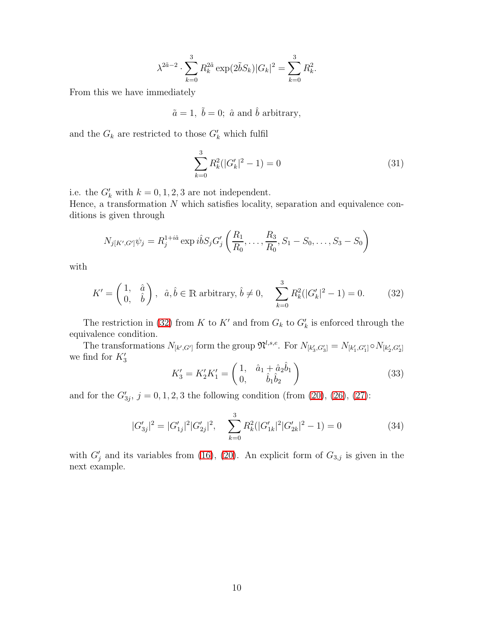$$
\lambda^{2\tilde{a}-2} \cdot \sum_{k=0}^{3} R_k^{2\tilde{a}} \exp(2\tilde{b}S_k)|G_k|^2 = \sum_{k=0}^{3} R_k^2.
$$

From this we have immediately

<span id="page-9-2"></span>
$$
\tilde{a} = 1
$$
,  $\tilde{b} = 0$ ;  $\hat{a}$  and  $\hat{b}$  arbitrary,

and the  $G_k$  are restricted to those  $G'_{k}$  which fulfil

$$
\sum_{k=0}^{3} R_k^2 (|G'_k|^2 - 1) = 0
$$
\n(31)

i.e. the  $G'_{k}$  with  $k = 0, 1, 2, 3$  are not independent.

Hence, a transformation  $N$  which satisfies locality, separation and equivalence conditions is given through

$$
N_{j[K',G']} \psi_j = R_j^{1+i\hat{a}} \exp i\hat{b} S_j G'_j \left( \frac{R_1}{R_0}, \dots, \frac{R_3}{R_0}, S_1 - S_0, \dots, S_3 - S_0 \right)
$$

<span id="page-9-0"></span>with

$$
K' = \begin{pmatrix} 1, & \hat{a} \\ 0, & \hat{b} \end{pmatrix}, \ \hat{a}, \hat{b} \in \mathbb{R} \text{ arbitrary, } \hat{b} \neq 0, \quad \sum_{k=0}^{3} R_k^2 (|G'_k|^2 - 1) = 0. \tag{32}
$$

The restriction in [\(32\)](#page-9-0) from K to K' and from  $G_k$  to  $G'_k$  is enforced through the equivalence condition.

<span id="page-9-1"></span>The transformations  $N_{[k',G']}$  form the group  $\mathfrak{N}^{l,s,e}$ . For  $N_{[k'_3,G'_3]} = N_{[k'_1,G'_1]} \circ N_{[k'_2,G'_2]}$ we find for  $K'_3$ 

$$
K_3' = K_2' K_1' = \begin{pmatrix} 1, & \hat{a}_1 + \hat{a}_2 \hat{b}_1 \\ 0, & \hat{b}_1 \hat{b}_2 \end{pmatrix}
$$
 (33)

and for the  $G'_{3j}$ ,  $j = 0, 1, 2, 3$  the following condition (from [\(20\)](#page-7-3), [\(26\)](#page-8-2), [\(27\)](#page-8-3):

$$
|G'_{3j}|^2 = |G'_{1j}|^2 |G'_{2j}|^2, \quad \sum_{k=0}^3 R_k^2 (|G'_{1k}|^2 |G'_{2k}|^2 - 1) = 0 \tag{34}
$$

with  $G'_{j}$  and its variables from [\(16\)](#page-6-0), [\(20\)](#page-7-3). An explicit form of  $G_{3,j}$  is given in the next example.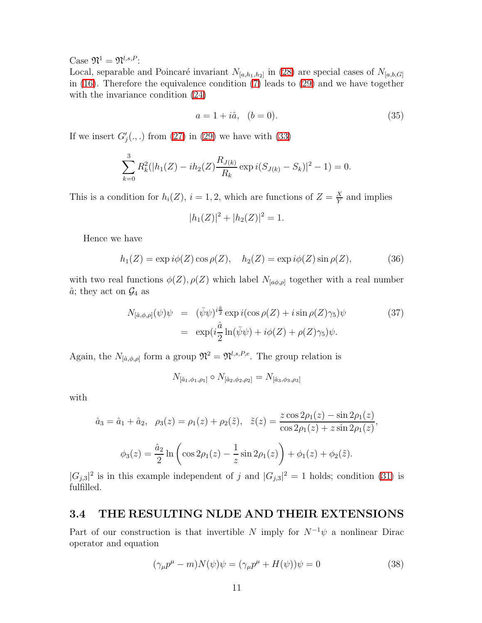Case  $\mathfrak{N}^1 = \mathfrak{N}^{l,s,P}$  :

Local, separable and Poincaré invariant  $N_{[a,h_1,h_2]}$  in [\(28\)](#page-8-4) are special cases of  $N_{[a,b,G]}$ in [\(16\)](#page-6-0). Therefore the equivalence condition [\(7\)](#page-3-2) leads to [\(29\)](#page-8-1) and we have together with the invariance condition  $(24)$ 

<span id="page-10-1"></span>
$$
a = 1 + i\hat{a}, \quad (b = 0). \tag{35}
$$

If we insert  $G'_{j}(.,.)$  from [\(27\)](#page-8-3) in [\(29\)](#page-8-1) we have with [\(33\)](#page-9-1)

$$
\sum_{k=0}^{3} R_k^2 (|h_1(Z) - ih_2(Z)\frac{R_{J(k)}}{R_k} \exp i(S_{J(k)} - S_k)|^2 - 1) = 0.
$$

This is a condition for  $h_i(Z)$ ,  $i = 1, 2$ , which are functions of  $Z = \frac{X}{Y}$  $\frac{X}{Y}$  and implies

$$
|h_1(Z)|^2 + |h_2(Z)|^2 = 1.
$$

<span id="page-10-0"></span>Hence we have

$$
h_1(Z) = \exp i\phi(Z)\cos\rho(Z), \quad h_2(Z) = \exp i\phi(Z)\sin\rho(Z), \tag{36}
$$

with two real functions  $\phi(Z)$ ,  $\rho(Z)$  which label  $N_{[a\phi,\rho]}$  together with a real number  $\hat{a}$ ; they act on  $\mathcal{G}_4$  as

$$
N_{[\hat{a},\phi,\rho]}(\psi)\psi = (\bar{\psi}\psi)^{i\frac{\hat{a}}{2}} \exp i(\cos \rho(Z) + i \sin \rho(Z)\gamma_5)\psi
$$
  

$$
= \exp(i\frac{\hat{a}}{2}\ln(\bar{\psi}\psi) + i\phi(Z) + \rho(Z)\gamma_5)\psi.
$$
 (37)

Again, the  $N_{[\hat{a},\phi,\rho]}$  form a group  $\mathfrak{N}^2 = \mathfrak{N}^{l,s,P,e}$ . The group relation is

$$
N_{[\hat{a}_1,\phi_1,\rho_1]} \circ N_{[\hat{a}_2,\phi_2,\rho_2]} = N_{[\hat{a}_3,\phi_3,\rho_3]}
$$

with

$$
\hat{a}_3 = \hat{a}_1 + \hat{a}_2, \quad \rho_3(z) = \rho_1(z) + \rho_2(\tilde{z}), \quad \tilde{z}(z) = \frac{z \cos 2\rho_1(z) - \sin 2\rho_1(z)}{\cos 2\rho_1(z) + z \sin 2\rho_1(z)},
$$

$$
\phi_3(z) = \frac{\hat{a}_2}{2} \ln \left( \cos 2\rho_1(z) - \frac{1}{z} \sin 2\rho_1(z) \right) + \phi_1(z) + \phi_2(\tilde{z}).
$$

 $|G_{j,3}|^2$  is in this example independent of j and  $|G_{j,3}|^2 = 1$  holds; condition [\(31\)](#page-9-2) is fulfilled.

### 3.4 THE RESULTING NLDE AND THEIR EXTENSIONS

Part of our construction is that invertible N imply for  $N^{-1}\psi$  a nonlinear Dirac operator and equation

$$
(\gamma_{\mu}p^{\mu} - m)N(\psi)\psi = (\gamma_{\mu}p^{\mu} + H(\psi))\psi = 0
$$
\n(38)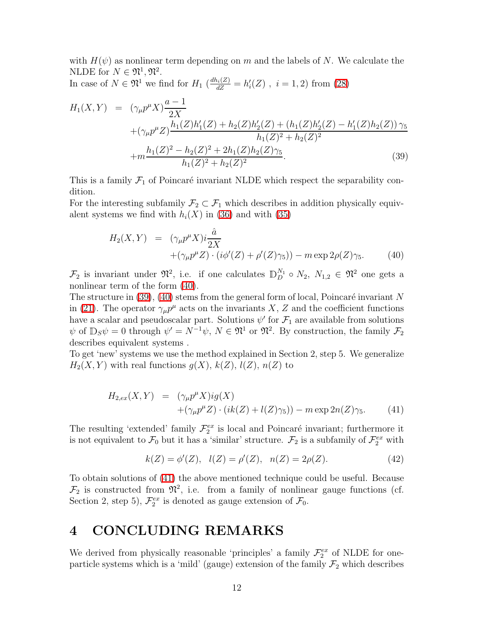with  $H(\psi)$  as nonlinear term depending on m and the labels of N. We calculate the NLDE for  $N \in \mathfrak{N}^1, \mathfrak{N}^2$ .

In case of  $N \in \mathfrak{N}^1$  we find for  $H_1$   $\left(\frac{dh_i(Z)}{dZ} = h'_i(Z)\right)$ ,  $i = 1, 2$ ) from [\(28\)](#page-8-4)

<span id="page-11-1"></span>
$$
H_1(X,Y) = (\gamma_\mu p^\mu X) \frac{a-1}{2X} + (\gamma_\mu p^\mu Z) \frac{h_1(Z)h_1'(Z) + h_2(Z)h_2'(Z) + (h_1(Z)h_2'(Z) - h_1'(Z)h_2(Z))\gamma_5}{h_1(Z)^2 + h_2(Z)^2} + m \frac{h_1(Z)^2 - h_2(Z)^2 + 2h_1(Z)h_2(Z)\gamma_5}{h_1(Z)^2 + h_2(Z)^2}.
$$
(39)

This is a family  $\mathcal{F}_1$  of Poincaré invariant NLDE which respect the separability condition.

<span id="page-11-0"></span>For the interesting subfamily  $\mathcal{F}_2 \subset \mathcal{F}_1$  which describes in addition physically equivalent systems we find with  $h_i(X)$  in [\(36\)](#page-10-0) and with [\(35\)](#page-10-1)

$$
H_2(X,Y) = (\gamma_\mu p^\mu X) i \frac{\hat{a}}{2X} + (\gamma_\mu p^\mu Z) \cdot (i \phi'(Z) + \rho'(Z) \gamma_5) - m \exp 2\rho(Z) \gamma_5. \tag{40}
$$

 $\mathcal{F}_2$  is invariant under  $\mathfrak{N}^2$ , i.e. if one calculates  $\mathbb{D}_{D}^{N_1} \circ N_2$ ,  $N_{1,2} \in \mathfrak{N}^2$  one gets a nonlinear term of the form [\(40\)](#page-11-0).

The structure in  $(39)$ ,  $(40)$  stems from the general form of local, Poincaré invariant N in [\(21\)](#page-7-0). The operator  $\gamma_\mu p^\mu$  acts on the invariants X, Z and the coefficient functions have a scalar and pseudoscalar part. Solutions  $\psi'$  for  $\mathcal{F}_1$  are available from solutions  $\psi$  of  $\mathbb{D}_S \psi = 0$  through  $\psi' = N^{-1} \psi$ ,  $N \in \mathfrak{N}^1$  or  $\mathfrak{N}^2$ . By construction, the family  $\mathcal{F}_2$ describes equivalent systems .

To get 'new' systems we use the method explained in Section 2, step 5. We generalize  $H_2(X, Y)$  with real functions  $g(X), k(Z), l(Z), n(Z)$  to

$$
H_{2,ex}(X,Y) = (\gamma_{\mu}p^{\mu}X)ig(X)
$$
  
 
$$
+(\gamma_{\mu}p^{\mu}Z)\cdot(ik(Z) + l(Z)\gamma_5)) - m \exp 2n(Z)\gamma_5.
$$
 (41)

<span id="page-11-2"></span>The resulting 'extended' family  $\mathcal{F}_2^{ex}$  is local and Poincaré invariant; furthermore it is not equivalent to  $\mathcal{F}_0$  but it has a 'similar' structure.  $\mathcal{F}_2$  is a subfamily of  $\mathcal{F}_2^{ex}$  with

$$
k(Z) = \phi'(Z), \quad l(Z) = \rho'(Z), \quad n(Z) = 2\rho(Z). \tag{42}
$$

To obtain solutions of [\(41\)](#page-11-2) the above mentioned technique could be useful. Because  $\mathcal{F}_2$  is constructed from  $\mathfrak{N}^2$ , i.e. from a family of nonlinear gauge functions (cf. Section 2, step 5),  $\mathcal{F}_2^{ex}$  is denoted as gauge extension of  $\mathcal{F}_0$ .

### 4 CONCLUDING REMARKS

We derived from physically reasonable 'principles' a family  $\mathcal{F}_2^{ex}$  of NLDE for oneparticle systems which is a 'mild' (gauge) extension of the family  $\mathcal{F}_2$  which describes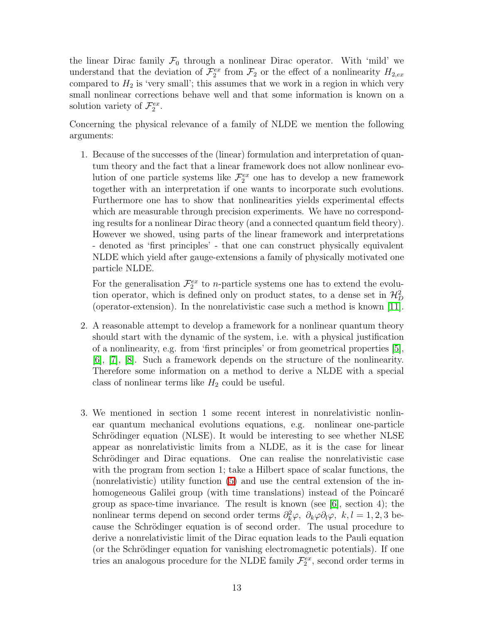the linear Dirac family  $\mathcal{F}_0$  through a nonlinear Dirac operator. With 'mild' we understand that the deviation of  $\mathcal{F}_2^{ex}$  from  $\mathcal{F}_2$  or the effect of a nonlinearity  $H_{2,ex}$ compared to  $H_2$  is 'very small'; this assumes that we work in a region in which very small nonlinear corrections behave well and that some information is known on a solution variety of  $\mathcal{F}_2^{ex}$ .

Concerning the physical relevance of a family of NLDE we mention the following arguments:

1. Because of the successes of the (linear) formulation and interpretation of quantum theory and the fact that a linear framework does not allow nonlinear evolution of one particle systems like  $\mathcal{F}_2^{ex}$  one has to develop a new framework together with an interpretation if one wants to incorporate such evolutions. Furthermore one has to show that nonlinearities yields experimental effects which are measurable through precision experiments. We have no corresponding results for a nonlinear Dirac theory (and a connected quantum field theory). However we showed, using parts of the linear framework and interpretations - denoted as 'first principles' - that one can construct physically equivalent NLDE which yield after gauge-extensions a family of physically motivated one particle NLDE.

For the generalisation  $\mathcal{F}_2^{ex}$  to *n*-particle systems one has to extend the evolution operator, which is defined only on product states, to a dense set in  $\mathcal{H}_{D}^{2}$ (operator-extension). In the nonrelativistic case such a method is known [\[11\]](#page-13-5).

- 2. A reasonable attempt to develop a framework for a nonlinear quantum theory should start with the dynamic of the system, i.e. with a physical justification of a nonlinearity, e.g. from 'first principles' or from geometrical properties [\[5\]](#page-13-2), [\[6\]](#page-13-8), [\[7\]](#page-13-4), [\[8\]](#page-13-3). Such a framework depends on the structure of the nonlinearity. Therefore some information on a method to derive a NLDE with a special class of nonlinear terms like  $H_2$  could be useful.
- 3. We mentioned in section 1 some recent interest in nonrelativistic nonlinear quantum mechanical evolutions equations, e.g. nonlinear one-particle Schrödinger equation (NLSE). It would be interesting to see whether NLSE appear as nonrelativistic limits from a NLDE, as it is the case for linear Schrödinger and Dirac equations. One can realise the nonrelativistic case with the program from section 1; take a Hilbert space of scalar functions, the (nonrelativistic) utility function [\(5\)](#page-3-1) and use the central extension of the inhomogeneous Galilei group (with time translations) instead of the Poincaré group as space-time invariance. The result is known (see [\[6\]](#page-13-8), section 4); the nonlinear terms depend on second order terms  $\partial_k^2 \varphi$ ,  $\partial_k \varphi \partial_l \varphi$ ,  $k, l = 1, 2, 3$  because the Schrödinger equation is of second order. The usual procedure to derive a nonrelativistic limit of the Dirac equation leads to the Pauli equation (or the Schrödinger equation for vanishing electromagnetic potentials). If one tries an analogous procedure for the NLDE family  $\mathcal{F}_2^{ex}$ , second order terms in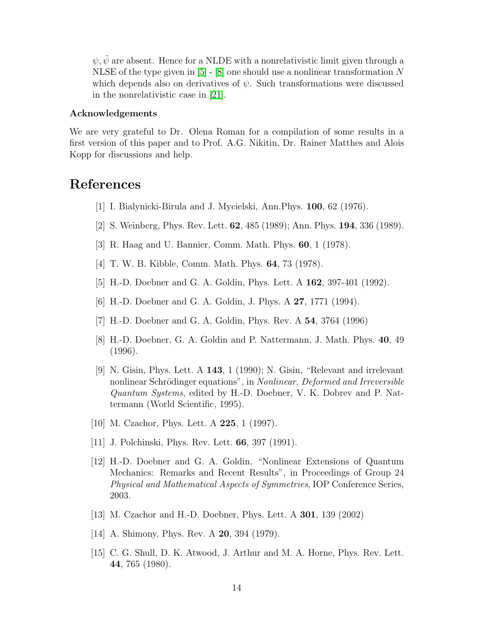$\psi, \bar{\psi}$  are absent. Hence for a NLDE with a nonrelativistic limit given through a NLSE of the type given in  $[5]$  -  $[8]$  one should use a nonlinear transformation N which depends also on derivatives of  $\psi$ . Such transformations were discussed in the nonrelativistic case in [\[21\]](#page-14-5).

#### Acknowledgements

We are very grateful to Dr. Olena Roman for a compilation of some results in a first version of this paper and to Prof. A.G. Nikitin, Dr. Rainer Matthes and Alois Kopp for discussions and help.

### <span id="page-13-0"></span>References

- [1] I. Bialynicki-Birula and J. Mycielski, Ann.Phys. 100, 62 (1976).
- [2] S. Weinberg, Phys. Rev. Lett. 62, 485 (1989); Ann. Phys. 194, 336 (1989).
- <span id="page-13-1"></span>[3] R. Haag and U. Bannier, Comm. Math. Phys. 60, 1 (1978).
- <span id="page-13-2"></span>[4] T. W. B. Kibble, Comm. Math. Phys. 64, 73 (1978).
- <span id="page-13-8"></span>[5] H.-D. Doebner and G. A. Goldin, Phys. Lett. A 162, 397-401 (1992).
- <span id="page-13-4"></span>[6] H.-D. Doebner and G. A. Goldin, J. Phys. A 27, 1771 (1994).
- <span id="page-13-3"></span>[7] H.-D. Doebner and G. A. Goldin, Phys. Rev. A 54, 3764 (1996)
- [8] H.-D. Doebner, G. A. Goldin and P. Nattermann, J. Math. Phys. 40, 49 (1996).
- [9] N. Gisin, Phys. Lett. A 143, 1 (1990); N. Gisin, "Relevant and irrelevant nonlinear Schrödinger equations", in Nonlinear, Deformed and Irreversible Quantum Systems, edited by H.-D. Doebner, V. K. Dobrev and P. Nattermann (World Scientific, 1995).
- <span id="page-13-5"></span>[10] M. Czachor, Phys. Lett. A **225**, 1 (1997).
- <span id="page-13-6"></span>[11] J. Polchinski, Phys. Rev. Lett. 66, 397 (1991).
- [12] H.-D. Doebner and G. A. Goldin, "Nonlinear Extensions of Quantum Mechanics: Remarks and Recent Results", in Proceedings of Group 24 Physical and Mathematical Aspects of Symmetries, IOP Conference Series, 2003.
- <span id="page-13-7"></span>[13] M. Czachor and H.-D. Doebner, Phys. Lett. A 301, 139 (2002)
- [14] A. Shimony, Phys. Rev. A **20**, 394 (1979).
- [15] C. G. Shull, D. K. Atwood, J. Arthur and M. A. Horne, Phys. Rev. Lett. 44, 765 (1980).